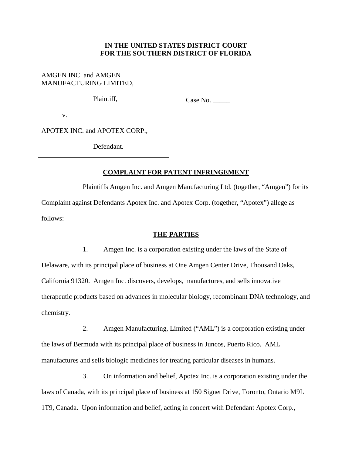## **IN THE UNITED STATES DISTRICT COURT FOR THE SOUTHERN DISTRICT OF FLORIDA**

AMGEN INC. and AMGEN MANUFACTURING LIMITED,

Plaintiff,

 $Case No.$ 

v.

APOTEX INC. and APOTEX CORP.,

Defendant.

# **COMPLAINT FOR PATENT INFRINGEMENT**

Plaintiffs Amgen Inc. and Amgen Manufacturing Ltd. (together, "Amgen") for its Complaint against Defendants Apotex Inc. and Apotex Corp. (together, "Apotex") allege as follows:

### **THE PARTIES**

1. Amgen Inc. is a corporation existing under the laws of the State of Delaware, with its principal place of business at One Amgen Center Drive, Thousand Oaks, California 91320. Amgen Inc. discovers, develops, manufactures, and sells innovative therapeutic products based on advances in molecular biology, recombinant DNA technology, and chemistry.

2. Amgen Manufacturing, Limited ("AML") is a corporation existing under the laws of Bermuda with its principal place of business in Juncos, Puerto Rico. AML manufactures and sells biologic medicines for treating particular diseases in humans.

3. On information and belief, Apotex Inc. is a corporation existing under the laws of Canada, with its principal place of business at 150 Signet Drive, Toronto, Ontario M9L 1T9, Canada. Upon information and belief, acting in concert with Defendant Apotex Corp.,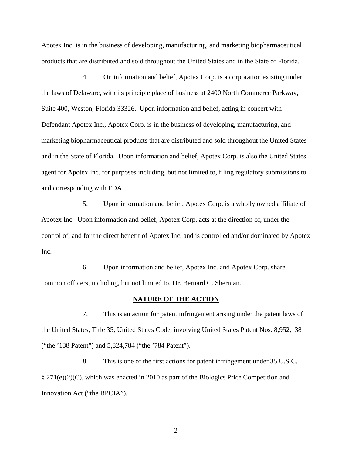Apotex Inc. is in the business of developing, manufacturing, and marketing biopharmaceutical products that are distributed and sold throughout the United States and in the State of Florida.

4. On information and belief, Apotex Corp. is a corporation existing under the laws of Delaware, with its principle place of business at 2400 North Commerce Parkway, Suite 400, Weston, Florida 33326. Upon information and belief, acting in concert with Defendant Apotex Inc., Apotex Corp. is in the business of developing, manufacturing, and marketing biopharmaceutical products that are distributed and sold throughout the United States and in the State of Florida. Upon information and belief, Apotex Corp. is also the United States agent for Apotex Inc. for purposes including, but not limited to, filing regulatory submissions to and corresponding with FDA.

5. Upon information and belief, Apotex Corp. is a wholly owned affiliate of Apotex Inc. Upon information and belief, Apotex Corp. acts at the direction of, under the control of, and for the direct benefit of Apotex Inc. and is controlled and/or dominated by Apotex Inc.

6. Upon information and belief, Apotex Inc. and Apotex Corp. share common officers, including, but not limited to, Dr. Bernard C. Sherman.

### **NATURE OF THE ACTION**

7. This is an action for patent infringement arising under the patent laws of the United States, Title 35, United States Code, involving United States Patent Nos. 8,952,138 ("the '138 Patent") and 5,824,784 ("the '784 Patent").

8. This is one of the first actions for patent infringement under 35 U.S.C. § 271(e)(2)(C), which was enacted in 2010 as part of the Biologics Price Competition and Innovation Act ("the BPCIA").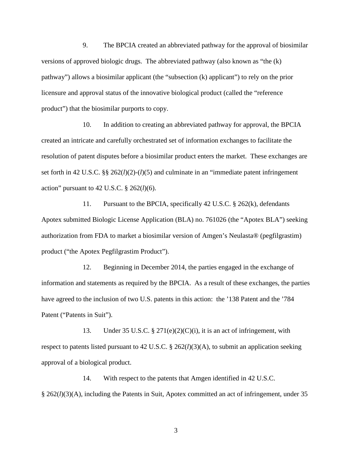9. The BPCIA created an abbreviated pathway for the approval of biosimilar versions of approved biologic drugs. The abbreviated pathway (also known as "the (k) pathway") allows a biosimilar applicant (the "subsection (k) applicant") to rely on the prior licensure and approval status of the innovative biological product (called the "reference product") that the biosimilar purports to copy.

10. In addition to creating an abbreviated pathway for approval, the BPCIA created an intricate and carefully orchestrated set of information exchanges to facilitate the resolution of patent disputes before a biosimilar product enters the market. These exchanges are set forth in 42 U.S.C. §§ 262(*l*)(2)-(*l*)(5) and culminate in an "immediate patent infringement action" pursuant to 42 U.S.C. § 262(*l*)(6).

11. Pursuant to the BPCIA, specifically 42 U.S.C. § 262(k), defendants Apotex submitted Biologic License Application (BLA) no. 761026 (the "Apotex BLA") seeking authorization from FDA to market a biosimilar version of Amgen's Neulasta® (pegfilgrastim) product ("the Apotex Pegfilgrastim Product").

12. Beginning in December 2014, the parties engaged in the exchange of information and statements as required by the BPCIA. As a result of these exchanges, the parties have agreed to the inclusion of two U.S. patents in this action: the '138 Patent and the '784 Patent ("Patents in Suit").

13. Under 35 U.S.C. § 271(e)(2)(C)(i), it is an act of infringement, with respect to patents listed pursuant to 42 U.S.C. § 262(*l*)(3)(A), to submit an application seeking approval of a biological product.

14. With respect to the patents that Amgen identified in 42 U.S.C. § 262(*l*)(3)(A), including the Patents in Suit, Apotex committed an act of infringement, under 35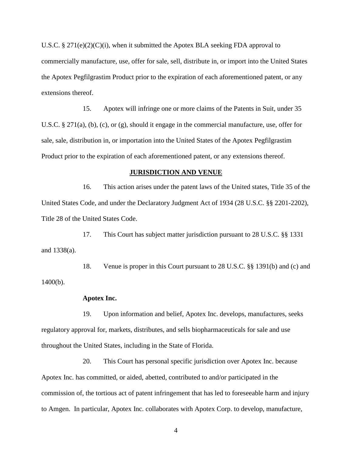U.S.C. § 271(e)(2)(C)(i), when it submitted the Apotex BLA seeking FDA approval to commercially manufacture, use, offer for sale, sell, distribute in, or import into the United States the Apotex Pegfilgrastim Product prior to the expiration of each aforementioned patent, or any extensions thereof.

15. Apotex will infringe one or more claims of the Patents in Suit, under 35 U.S.C. § 271(a), (b), (c), or (g), should it engage in the commercial manufacture, use, offer for sale, sale, distribution in, or importation into the United States of the Apotex Pegfilgrastim Product prior to the expiration of each aforementioned patent, or any extensions thereof.

#### **JURISDICTION AND VENUE**

16. This action arises under the patent laws of the United states, Title 35 of the United States Code, and under the Declaratory Judgment Act of 1934 (28 U.S.C. §§ 2201-2202), Title 28 of the United States Code.

17. This Court has subject matter jurisdiction pursuant to 28 U.S.C. §§ 1331 and 1338(a).

18. Venue is proper in this Court pursuant to 28 U.S.C. §§ 1391(b) and (c) and 1400(b).

#### **Apotex Inc.**

19. Upon information and belief, Apotex Inc. develops, manufactures, seeks regulatory approval for, markets, distributes, and sells biopharmaceuticals for sale and use throughout the United States, including in the State of Florida.

20. This Court has personal specific jurisdiction over Apotex Inc. because Apotex Inc. has committed, or aided, abetted, contributed to and/or participated in the commission of, the tortious act of patent infringement that has led to foreseeable harm and injury to Amgen. In particular, Apotex Inc. collaborates with Apotex Corp. to develop, manufacture,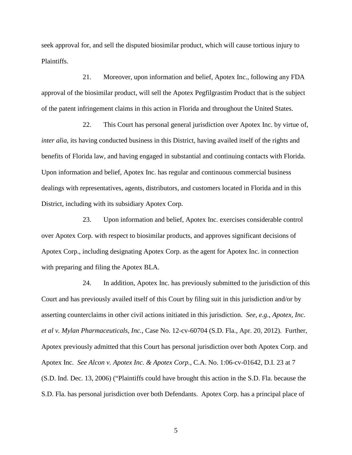seek approval for, and sell the disputed biosimilar product, which will cause tortious injury to Plaintiffs.

21. Moreover, upon information and belief, Apotex Inc., following any FDA approval of the biosimilar product, will sell the Apotex Pegfilgrastim Product that is the subject of the patent infringement claims in this action in Florida and throughout the United States.

22. This Court has personal general jurisdiction over Apotex Inc. by virtue of, *inter alia*, its having conducted business in this District, having availed itself of the rights and benefits of Florida law, and having engaged in substantial and continuing contacts with Florida. Upon information and belief, Apotex Inc. has regular and continuous commercial business dealings with representatives, agents, distributors, and customers located in Florida and in this District, including with its subsidiary Apotex Corp.

23. Upon information and belief, Apotex Inc. exercises considerable control over Apotex Corp. with respect to biosimilar products, and approves significant decisions of Apotex Corp., including designating Apotex Corp. as the agent for Apotex Inc. in connection with preparing and filing the Apotex BLA.

24. In addition, Apotex Inc. has previously submitted to the jurisdiction of this Court and has previously availed itself of this Court by filing suit in this jurisdiction and/or by asserting counterclaims in other civil actions initiated in this jurisdiction. *See, e.g.*, *Apotex, Inc. et al v. Mylan Pharmaceuticals, Inc.*, Case No. 12-cv-60704 (S.D. Fla., Apr. 20, 2012). Further, Apotex previously admitted that this Court has personal jurisdiction over both Apotex Corp. and Apotex Inc. *See Alcon v. Apotex Inc. & Apotex Corp.*, C.A. No. 1:06-cv-01642, D.I. 23 at 7 (S.D. Ind. Dec. 13, 2006) ("Plaintiffs could have brought this action in the S.D. Fla. because the S.D. Fla. has personal jurisdiction over both Defendants. Apotex Corp. has a principal place of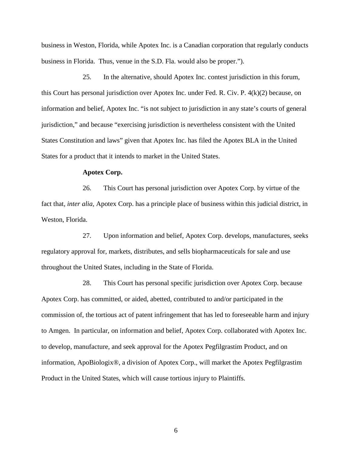business in Weston, Florida, while Apotex Inc. is a Canadian corporation that regularly conducts business in Florida. Thus, venue in the S.D. Fla. would also be proper.").

25. In the alternative, should Apotex Inc. contest jurisdiction in this forum, this Court has personal jurisdiction over Apotex Inc. under Fed. R. Civ. P. 4(k)(2) because, on information and belief, Apotex Inc. "is not subject to jurisdiction in any state's courts of general jurisdiction," and because "exercising jurisdiction is nevertheless consistent with the United States Constitution and laws" given that Apotex Inc. has filed the Apotex BLA in the United States for a product that it intends to market in the United States.

### **Apotex Corp.**

26. This Court has personal jurisdiction over Apotex Corp. by virtue of the fact that, *inter alia*, Apotex Corp. has a principle place of business within this judicial district, in Weston, Florida.

27. Upon information and belief, Apotex Corp. develops, manufactures, seeks regulatory approval for, markets, distributes, and sells biopharmaceuticals for sale and use throughout the United States, including in the State of Florida.

28. This Court has personal specific jurisdiction over Apotex Corp. because Apotex Corp. has committed, or aided, abetted, contributed to and/or participated in the commission of, the tortious act of patent infringement that has led to foreseeable harm and injury to Amgen. In particular, on information and belief, Apotex Corp. collaborated with Apotex Inc. to develop, manufacture, and seek approval for the Apotex Pegfilgrastim Product, and on information, ApoBiologix®, a division of Apotex Corp., will market the Apotex Pegfilgrastim Product in the United States, which will cause tortious injury to Plaintiffs.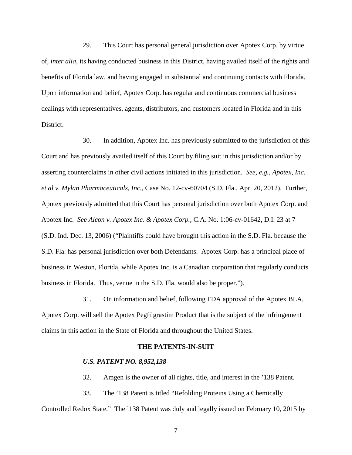29. This Court has personal general jurisdiction over Apotex Corp. by virtue of, *inter alia*, its having conducted business in this District, having availed itself of the rights and benefits of Florida law, and having engaged in substantial and continuing contacts with Florida. Upon information and belief, Apotex Corp. has regular and continuous commercial business dealings with representatives, agents, distributors, and customers located in Florida and in this District.

30. In addition, Apotex Inc. has previously submitted to the jurisdiction of this Court and has previously availed itself of this Court by filing suit in this jurisdiction and/or by asserting counterclaims in other civil actions initiated in this jurisdiction. *See, e.g.*, *Apotex, Inc. et al v. Mylan Pharmaceuticals, Inc.*, Case No. 12-cv-60704 (S.D. Fla., Apr. 20, 2012). Further, Apotex previously admitted that this Court has personal jurisdiction over both Apotex Corp. and Apotex Inc. *See Alcon v. Apotex Inc. & Apotex Corp.*, C.A. No. 1:06-cv-01642, D.I. 23 at 7 (S.D. Ind. Dec. 13, 2006) ("Plaintiffs could have brought this action in the S.D. Fla. because the S.D. Fla. has personal jurisdiction over both Defendants. Apotex Corp. has a principal place of business in Weston, Florida, while Apotex Inc. is a Canadian corporation that regularly conducts business in Florida. Thus, venue in the S.D. Fla. would also be proper.").

31. On information and belief, following FDA approval of the Apotex BLA, Apotex Corp. will sell the Apotex Pegfilgrastim Product that is the subject of the infringement claims in this action in the State of Florida and throughout the United States.

#### **THE PATENTS-IN-SUIT**

#### *U.S. PATENT NO. 8,952,138*

32. Amgen is the owner of all rights, title, and interest in the '138 Patent.

33. The '138 Patent is titled "Refolding Proteins Using a Chemically Controlled Redox State." The '138 Patent was duly and legally issued on February 10, 2015 by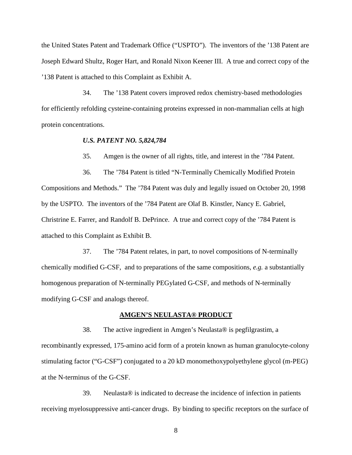the United States Patent and Trademark Office ("USPTO"). The inventors of the '138 Patent are Joseph Edward Shultz, Roger Hart, and Ronald Nixon Keener III. A true and correct copy of the '138 Patent is attached to this Complaint as Exhibit A.

34. The '138 Patent covers improved redox chemistry-based methodologies for efficiently refolding cysteine-containing proteins expressed in non-mammalian cells at high protein concentrations.

#### *U.S. PATENT NO. 5,824,784*

35. Amgen is the owner of all rights, title, and interest in the '784 Patent.

36. The '784 Patent is titled "N-Terminally Chemically Modified Protein Compositions and Methods." The '784 Patent was duly and legally issued on October 20, 1998 by the USPTO. The inventors of the '784 Patent are Olaf B. Kinstler, Nancy E. Gabriel, Christrine E. Farrer, and Randolf B. DePrince. A true and correct copy of the '784 Patent is attached to this Complaint as Exhibit B.

37. The '784 Patent relates, in part, to novel compositions of N-terminally chemically modified G-CSF, and to preparations of the same compositions, *e.g.* a substantially homogenous preparation of N-terminally PEGylated G-CSF, and methods of N-terminally modifying G-CSF and analogs thereof.

### **AMGEN'S NEULASTA® PRODUCT**

38. The active ingredient in Amgen's Neulasta® is pegfilgrastim, a recombinantly expressed, 175-amino acid form of a protein known as human granulocyte-colony stimulating factor ("G-CSF") conjugated to a 20 kD monomethoxypolyethylene glycol (m-PEG) at the N-terminus of the G-CSF.

39. Neulasta® is indicated to decrease the incidence of infection in patients receiving myelosuppressive anti-cancer drugs. By binding to specific receptors on the surface of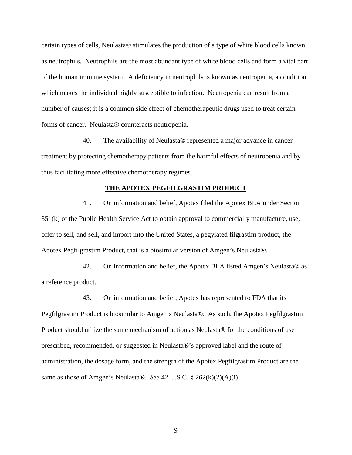certain types of cells, Neulasta® stimulates the production of a type of white blood cells known as neutrophils. Neutrophils are the most abundant type of white blood cells and form a vital part of the human immune system. A deficiency in neutrophils is known as neutropenia, a condition which makes the individual highly susceptible to infection. Neutropenia can result from a number of causes; it is a common side effect of chemotherapeutic drugs used to treat certain forms of cancer. Neulasta® counteracts neutropenia.

40. The availability of Neulasta® represented a major advance in cancer treatment by protecting chemotherapy patients from the harmful effects of neutropenia and by thus facilitating more effective chemotherapy regimes.

# **THE APOTEX PEGFILGRASTIM PRODUCT**

41. On information and belief, Apotex filed the Apotex BLA under Section 351(k) of the Public Health Service Act to obtain approval to commercially manufacture, use, offer to sell, and sell, and import into the United States, a pegylated filgrastim product, the Apotex Pegfilgrastim Product, that is a biosimilar version of Amgen's Neulasta®.

42. On information and belief, the Apotex BLA listed Amgen's Neulasta® as a reference product.

43. On information and belief, Apotex has represented to FDA that its Pegfilgrastim Product is biosimilar to Amgen's Neulasta®. As such, the Apotex Pegfilgrastim Product should utilize the same mechanism of action as Neulasta® for the conditions of use prescribed, recommended, or suggested in Neulasta®'s approved label and the route of administration, the dosage form, and the strength of the Apotex Pegfilgrastim Product are the same as those of Amgen's Neulasta®. *See* 42 U.S.C. § 262(k)(2)(A)(i).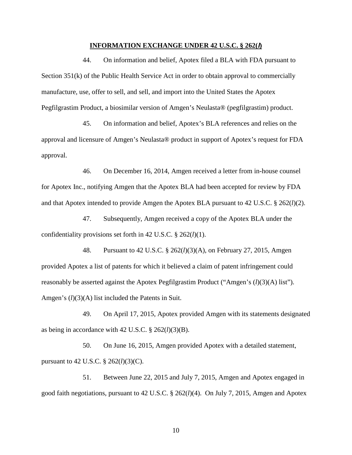#### **INFORMATION EXCHANGE UNDER 42 U.S.C. § 262(l)**

44. On information and belief, Apotex filed a BLA with FDA pursuant to Section 351(k) of the Public Health Service Act in order to obtain approval to commercially manufacture, use, offer to sell, and sell, and import into the United States the Apotex Pegfilgrastim Product, a biosimilar version of Amgen's Neulasta® (pegfilgrastim) product.

45. On information and belief, Apotex's BLA references and relies on the approval and licensure of Amgen's Neulasta® product in support of Apotex's request for FDA approval.

46. On December 16, 2014, Amgen received a letter from in-house counsel for Apotex Inc., notifying Amgen that the Apotex BLA had been accepted for review by FDA and that Apotex intended to provide Amgen the Apotex BLA pursuant to 42 U.S.C. § 262(*l*)(2).

47. Subsequently, Amgen received a copy of the Apotex BLA under the confidentiality provisions set forth in 42 U.S.C. § 262(*l*)(1).

48. Pursuant to 42 U.S.C. § 262(*l*)(3)(A), on February 27, 2015, Amgen provided Apotex a list of patents for which it believed a claim of patent infringement could reasonably be asserted against the Apotex Pegfilgrastim Product ("Amgen's (*l*)(3)(A) list"). Amgen's (*l*)(3)(A) list included the Patents in Suit.

49. On April 17, 2015, Apotex provided Amgen with its statements designated as being in accordance with 42 U.S.C. § 262(*l*)(3)(B).

50. On June 16, 2015, Amgen provided Apotex with a detailed statement, pursuant to 42 U.S.C. § 262(*l*)(3)(C).

51. Between June 22, 2015 and July 7, 2015, Amgen and Apotex engaged in good faith negotiations, pursuant to 42 U.S.C. § 262(*l*)(4). On July 7, 2015, Amgen and Apotex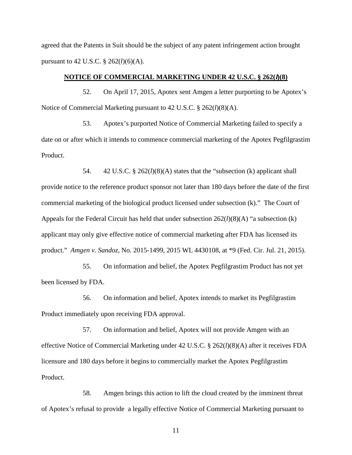agreed that the Patents in Suit should be the subject of any patent infringement action brought pursuant to 42 U.S.C. § 262(*l*)(6)(A).

### **NOTICE OF COMMERCIAL MARKETING UNDER 42 U.S.C. § 262(l)(8)**

52. On April 17, 2015, Apotex sent Amgen a letter purporting to be Apotex's Notice of Commercial Marketing pursuant to 42 U.S.C. § 262(*l*)(8)(A).

53. Apotex's purported Notice of Commercial Marketing failed to specify a date on or after which it intends to commence commercial marketing of the Apotex Pegfilgrastim Product.

54. 42 U.S.C. § 262(*l*)(8)(A) states that the "subsection (k) applicant shall provide notice to the reference product sponsor not later than 180 days before the date of the first commercial marketing of the biological product licensed under subsection (k)." The Court of Appeals for the Federal Circuit has held that under subsection  $262(l)(8)(A)$  "a subsection (k) applicant may only give effective notice of commercial marketing after FDA has licensed its product." *Amgen v. Sandoz*, No. 2015-1499, 2015 WL 4430108, at \*9 (Fed. Cir. Jul. 21, 2015).

55. On information and belief, the Apotex Pegfilgrastim Product has not yet been licensed by FDA.

56. On information and belief, Apotex intends to market its Pegfilgrastim Product immediately upon receiving FDA approval.

57. On information and belief, Apotex will not provide Amgen with an effective Notice of Commercial Marketing under 42 U.S.C. § 262(*l*)(8)(A) after it receives FDA licensure and 180 days before it begins to commercially market the Apotex Pegfilgrastim Product.

58. Amgen brings this action to lift the cloud created by the imminent threat of Apotex's refusal to provide a legally effective Notice of Commercial Marketing pursuant to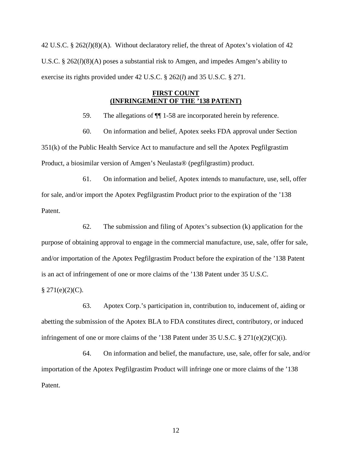42 U.S.C. § 262(*l*)(8)(A). Without declaratory relief, the threat of Apotex's violation of 42 U.S.C. § 262(*l*)(8)(A) poses a substantial risk to Amgen, and impedes Amgen's ability to exercise its rights provided under 42 U.S.C. § 262(*l*) and 35 U.S.C. § 271.

# **FIRST COUNT (INFRINGEMENT OF THE '138 PATENT)**

59. The allegations of ¶¶ 1-58 are incorporated herein by reference.

60. On information and belief, Apotex seeks FDA approval under Section

351(k) of the Public Health Service Act to manufacture and sell the Apotex Pegfilgrastim Product, a biosimilar version of Amgen's Neulasta® (pegfilgrastim) product.

61. On information and belief, Apotex intends to manufacture, use, sell, offer for sale, and/or import the Apotex Pegfilgrastim Product prior to the expiration of the '138 Patent.

62. The submission and filing of Apotex's subsection (k) application for the purpose of obtaining approval to engage in the commercial manufacture, use, sale, offer for sale, and/or importation of the Apotex Pegfilgrastim Product before the expiration of the '138 Patent is an act of infringement of one or more claims of the '138 Patent under 35 U.S.C.

 $§$  271(e)(2)(C).

63. Apotex Corp.'s participation in, contribution to, inducement of, aiding or abetting the submission of the Apotex BLA to FDA constitutes direct, contributory, or induced infringement of one or more claims of the '138 Patent under 35 U.S.C. § 271(e)(2)(C)(i).

64. On information and belief, the manufacture, use, sale, offer for sale, and/or importation of the Apotex Pegfilgrastim Product will infringe one or more claims of the '138 Patent.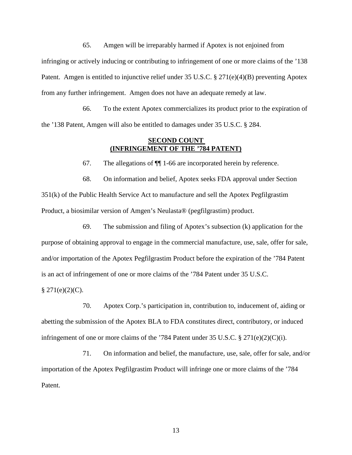65. Amgen will be irreparably harmed if Apotex is not enjoined from infringing or actively inducing or contributing to infringement of one or more claims of the '138 Patent. Amgen is entitled to injunctive relief under 35 U.S.C. § 271(e)(4)(B) preventing Apotex from any further infringement. Amgen does not have an adequate remedy at law.

66. To the extent Apotex commercializes its product prior to the expiration of the '138 Patent, Amgen will also be entitled to damages under 35 U.S.C. § 284.

## **SECOND COUNT (INFRINGEMENT OF THE '784 PATENT)**

67. The allegations of ¶¶ 1-66 are incorporated herein by reference.

68. On information and belief, Apotex seeks FDA approval under Section 351(k) of the Public Health Service Act to manufacture and sell the Apotex Pegfilgrastim Product, a biosimilar version of Amgen's Neulasta® (pegfilgrastim) product.

69. The submission and filing of Apotex's subsection (k) application for the purpose of obtaining approval to engage in the commercial manufacture, use, sale, offer for sale, and/or importation of the Apotex Pegfilgrastim Product before the expiration of the '784 Patent is an act of infringement of one or more claims of the '784 Patent under 35 U.S.C.

 $§$  271(e)(2)(C).

70. Apotex Corp.'s participation in, contribution to, inducement of, aiding or abetting the submission of the Apotex BLA to FDA constitutes direct, contributory, or induced infringement of one or more claims of the '784 Patent under 35 U.S.C. § 271(e)(2)(C)(i).

71. On information and belief, the manufacture, use, sale, offer for sale, and/or importation of the Apotex Pegfilgrastim Product will infringe one or more claims of the '784 Patent.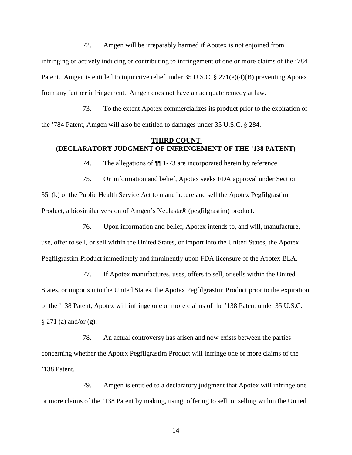72. Amgen will be irreparably harmed if Apotex is not enjoined from infringing or actively inducing or contributing to infringement of one or more claims of the '784 Patent. Amgen is entitled to injunctive relief under 35 U.S.C. § 271(e)(4)(B) preventing Apotex from any further infringement. Amgen does not have an adequate remedy at law.

73. To the extent Apotex commercializes its product prior to the expiration of the '784 Patent, Amgen will also be entitled to damages under 35 U.S.C. § 284.

## **THIRD COUNT (DECLARATORY JUDGMENT OF INFRINGEMENT OF THE '138 PATENT)**

74. The allegations of ¶¶ 1-73 are incorporated herein by reference.

75. On information and belief, Apotex seeks FDA approval under Section 351(k) of the Public Health Service Act to manufacture and sell the Apotex Pegfilgrastim Product, a biosimilar version of Amgen's Neulasta® (pegfilgrastim) product.

76. Upon information and belief, Apotex intends to, and will, manufacture, use, offer to sell, or sell within the United States, or import into the United States, the Apotex Pegfilgrastim Product immediately and imminently upon FDA licensure of the Apotex BLA.

77. If Apotex manufactures, uses, offers to sell, or sells within the United States, or imports into the United States, the Apotex Pegfilgrastim Product prior to the expiration of the '138 Patent, Apotex will infringe one or more claims of the '138 Patent under 35 U.S.C. § 271 (a) and/or (g).

78. An actual controversy has arisen and now exists between the parties concerning whether the Apotex Pegfilgrastim Product will infringe one or more claims of the '138 Patent.

79. Amgen is entitled to a declaratory judgment that Apotex will infringe one or more claims of the '138 Patent by making, using, offering to sell, or selling within the United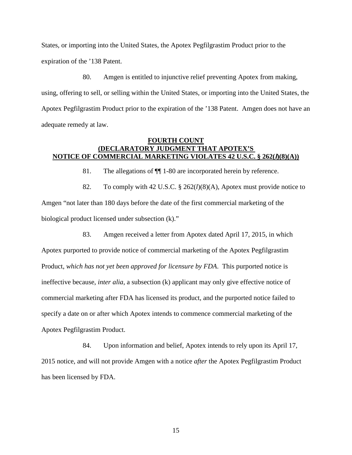States, or importing into the United States, the Apotex Pegfilgrastim Product prior to the expiration of the '138 Patent.

80. Amgen is entitled to injunctive relief preventing Apotex from making, using, offering to sell, or selling within the United States, or importing into the United States, the Apotex Pegfilgrastim Product prior to the expiration of the '138 Patent. Amgen does not have an adequate remedy at law.

# **FOURTH COUNT (DECLARATORY JUDGMENT THAT APOTEX'S NOTICE OF COMMERCIAL MARKETING VIOLATES 42 U.S.C. § 262(l)(8)(A))**

81. The allegations of ¶¶ 1-80 are incorporated herein by reference.

82. To comply with 42 U.S.C. § 262(*l*)(8)(A), Apotex must provide notice to Amgen "not later than 180 days before the date of the first commercial marketing of the biological product licensed under subsection (k)."

83. Amgen received a letter from Apotex dated April 17, 2015, in which Apotex purported to provide notice of commercial marketing of the Apotex Pegfilgrastim Product, *which has not yet been approved for licensure by FDA*. This purported notice is ineffective because, *inter alia*, a subsection (k) applicant may only give effective notice of commercial marketing after FDA has licensed its product, and the purported notice failed to specify a date on or after which Apotex intends to commence commercial marketing of the Apotex Pegfilgrastim Product.

84. Upon information and belief, Apotex intends to rely upon its April 17, 2015 notice, and will not provide Amgen with a notice *after* the Apotex Pegfilgrastim Product has been licensed by FDA.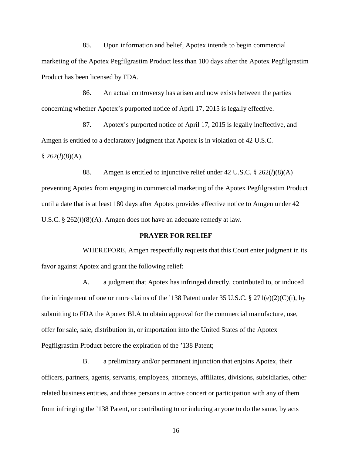85. Upon information and belief, Apotex intends to begin commercial marketing of the Apotex Pegfilgrastim Product less than 180 days after the Apotex Pegfilgrastim Product has been licensed by FDA.

86. An actual controversy has arisen and now exists between the parties concerning whether Apotex's purported notice of April 17, 2015 is legally effective.

87. Apotex's purported notice of April 17, 2015 is legally ineffective, and Amgen is entitled to a declaratory judgment that Apotex is in violation of 42 U.S.C.  $§ 262(l)(8)(A).$ 

88. Amgen is entitled to injunctive relief under 42 U.S.C. § 262(*l*)(8)(A) preventing Apotex from engaging in commercial marketing of the Apotex Pegfilgrastim Product until a date that is at least 180 days after Apotex provides effective notice to Amgen under 42 U.S.C. § 262(*l*)(8)(A). Amgen does not have an adequate remedy at law.

### **PRAYER FOR RELIEF**

WHEREFORE, Amgen respectfully requests that this Court enter judgment in its favor against Apotex and grant the following relief:

A. a judgment that Apotex has infringed directly, contributed to, or induced the infringement of one or more claims of the '138 Patent under 35 U.S.C.  $\S 271(e)(2)(C)(i)$ , by submitting to FDA the Apotex BLA to obtain approval for the commercial manufacture, use, offer for sale, sale, distribution in, or importation into the United States of the Apotex Pegfilgrastim Product before the expiration of the '138 Patent;

B. a preliminary and/or permanent injunction that enjoins Apotex, their officers, partners, agents, servants, employees, attorneys, affiliates, divisions, subsidiaries, other related business entities, and those persons in active concert or participation with any of them from infringing the '138 Patent, or contributing to or inducing anyone to do the same, by acts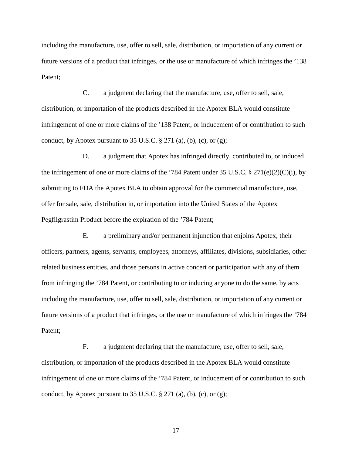including the manufacture, use, offer to sell, sale, distribution, or importation of any current or future versions of a product that infringes, or the use or manufacture of which infringes the '138 Patent;

C. a judgment declaring that the manufacture, use, offer to sell, sale, distribution, or importation of the products described in the Apotex BLA would constitute infringement of one or more claims of the '138 Patent, or inducement of or contribution to such conduct, by Apotex pursuant to  $35 \text{ U.S.C.}$  §  $271$  (a), (b), (c), or (g);

D. a judgment that Apotex has infringed directly, contributed to, or induced the infringement of one or more claims of the '784 Patent under 35 U.S.C.  $\S 271(e)(2)(C)(i)$ , by submitting to FDA the Apotex BLA to obtain approval for the commercial manufacture, use, offer for sale, sale, distribution in, or importation into the United States of the Apotex Pegfilgrastim Product before the expiration of the '784 Patent;

E. a preliminary and/or permanent injunction that enjoins Apotex, their officers, partners, agents, servants, employees, attorneys, affiliates, divisions, subsidiaries, other related business entities, and those persons in active concert or participation with any of them from infringing the '784 Patent, or contributing to or inducing anyone to do the same, by acts including the manufacture, use, offer to sell, sale, distribution, or importation of any current or future versions of a product that infringes, or the use or manufacture of which infringes the '784 Patent;

F. a judgment declaring that the manufacture, use, offer to sell, sale, distribution, or importation of the products described in the Apotex BLA would constitute infringement of one or more claims of the '784 Patent, or inducement of or contribution to such conduct, by Apotex pursuant to  $35 \text{ U.S.C.}$  §  $271$  (a), (b), (c), or (g);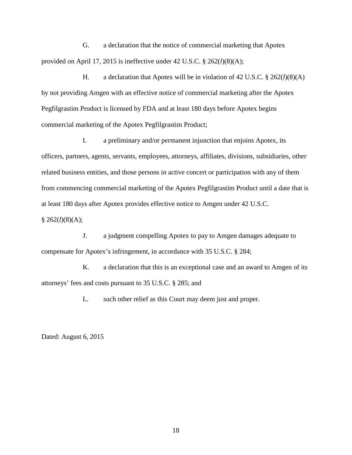G. a declaration that the notice of commercial marketing that Apotex provided on April 17, 2015 is ineffective under 42 U.S.C. § 262(*l*)(8)(A);

H. a declaration that Apotex will be in violation of 42 U.S.C. § 262(*l*)(8)(A) by not providing Amgen with an effective notice of commercial marketing after the Apotex Pegfilgrastim Product is licensed by FDA and at least 180 days before Apotex begins commercial marketing of the Apotex Pegfilgrastim Product;

I. a preliminary and/or permanent injunction that enjoins Apotex, its officers, partners, agents, servants, employees, attorneys, affiliates, divisions, subsidiaries, other related business entities, and those persons in active concert or participation with any of them from commencing commercial marketing of the Apotex Pegfilgrastim Product until a date that is at least 180 days after Apotex provides effective notice to Amgen under 42 U.S.C.  $§$  262(*l*)(8)(A);

J. a judgment compelling Apotex to pay to Amgen damages adequate to compensate for Apotex's infringement, in accordance with 35 U.S.C. § 284;

K. a declaration that this is an exceptional case and an award to Amgen of its attorneys' fees and costs pursuant to 35 U.S.C. § 285; and

L. such other relief as this Court may deem just and proper.

Dated: August 6, 2015